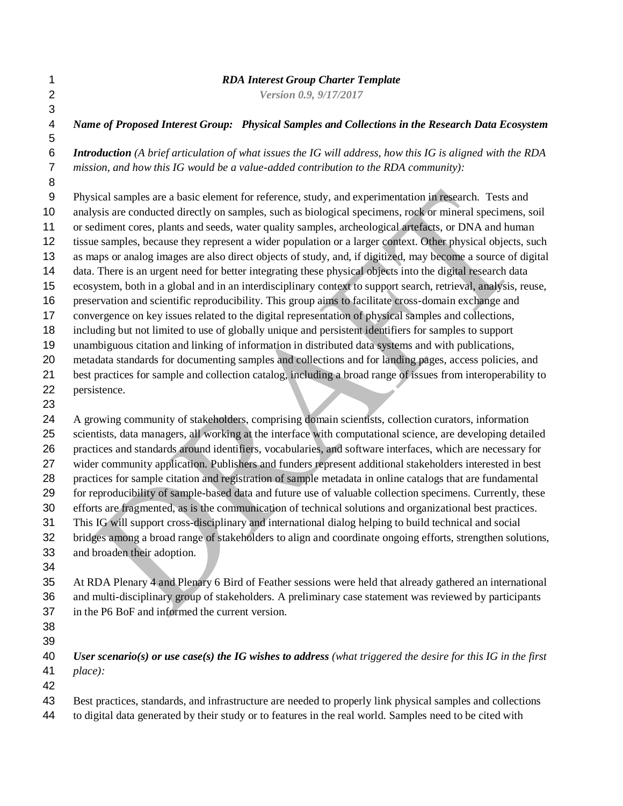## *RDA Interest Group Charter Template*

*Version 0.9, 9/17/2017*

 *Name of Proposed Interest Group: Physical Samples and Collections in the Research Data Ecosystem Introduction (A brief articulation of what issues the IG will address, how this IG is aligned with the RDA mission, and how this IG would be a value-added contribution to the RDA community):* Physical samples are a basic element for reference, study, and experimentation in research. Tests and analysis are conducted directly on samples, such as biological specimens, rock or mineral specimens, soil or sediment cores, plants and seeds, water quality samples, archeological artefacts, or DNA and human tissue samples, because they represent a wider population or a larger context. Other physical objects, such as maps or analog images are also direct objects of study, and, if digitized, may become a source of digital data. There is an urgent need for better integrating these physical objects into the digital research data ecosystem, both in a global and in an interdisciplinary context to support search, retrieval, analysis, reuse, preservation and scientific reproducibility. This group aims to facilitate cross-domain exchange and convergence on key issues related to the digital representation of physical samples and collections, including but not limited to use of globally unique and persistent identifiers for samples to support unambiguous citation and linking of information in distributed data systems and with publications, metadata standards for documenting samples and collections and for landing pages, access policies, and best practices for sample and collection catalog, including a broad range of issues from interoperability to persistence. A growing community of stakeholders, comprising domain scientists, collection curators, information scientists, data managers, all working at the interface with computational science, are developing detailed practices and standards around identifiers, vocabularies, and software interfaces, which are necessary for wider community application. Publishers and funders represent additional stakeholders interested in best practices for sample citation and registration of sample metadata in online catalogs that are fundamental for reproducibility of sample-based data and future use of valuable collection specimens. Currently, these efforts are fragmented, as is the communication of technical solutions and organizational best practices. This IG will support cross-disciplinary and international dialog helping to build technical and social bridges among a broad range of stakeholders to align and coordinate ongoing efforts, strengthen solutions, and broaden their adoption. At RDA Plenary 4 and Plenary 6 Bird of Feather sessions were held that already gathered an international and multi-disciplinary group of stakeholders. A preliminary case statement was reviewed by participants in the P6 BoF and informed the current version. *User scenario(s) or use case(s) the IG wishes to address (what triggered the desire for this IG in the first* 

 *place):* 

Best practices, standards, and infrastructure are needed to properly link physical samples and collections

to digital data generated by their study or to features in the real world. Samples need to be cited with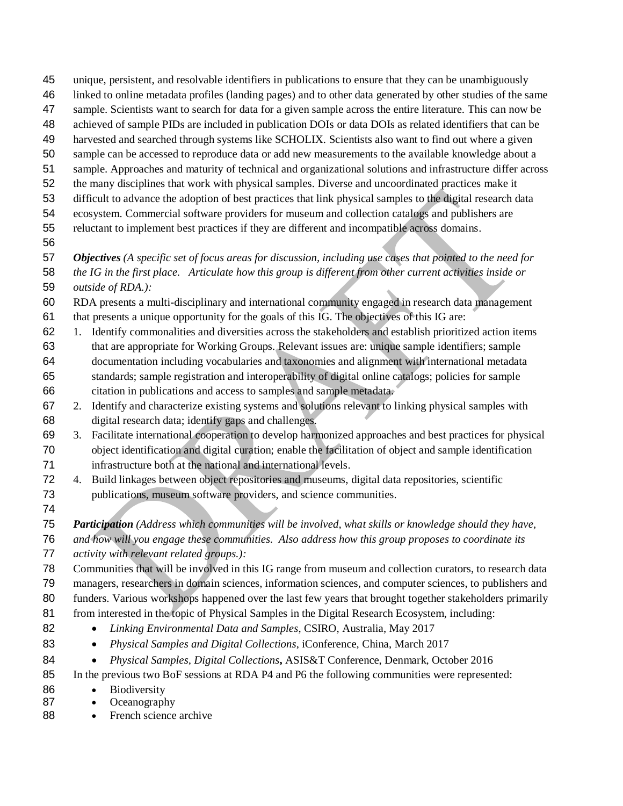- unique, persistent, and resolvable identifiers in publications to ensure that they can be unambiguously
- linked to online metadata profiles (landing pages) and to other data generated by other studies of the same
- sample. Scientists want to search for data for a given sample across the entire literature. This can now be
- achieved of sample PIDs are included in publication DOIs or data DOIs as related identifiers that can be
- harvested and searched through systems like SCHOLIX. Scientists also want to find out where a given
- sample can be accessed to reproduce data or add new measurements to the available knowledge about a
- sample. Approaches and maturity of technical and organizational solutions and infrastructure differ across
- the many disciplines that work with physical samples. Diverse and uncoordinated practices make it
- difficult to advance the adoption of best practices that link physical samples to the digital research data ecosystem. Commercial software providers for museum and collection catalogs and publishers are
- reluctant to implement best practices if they are different and incompatible across domains.
- 

 *Objectives (A specific set of focus areas for discussion, including use cases that pointed to the need for the IG in the first place. Articulate how this group is different from other current activities inside or outside of RDA.):*

- RDA presents a multi-disciplinary and international community engaged in research data management
- that presents a unique opportunity for the goals of this IG. The objectives of this IG are:
- 1. Identify commonalities and diversities across the stakeholders and establish prioritized action items
- that are appropriate for Working Groups. Relevant issues are: unique sample identifiers; sample documentation including vocabularies and taxonomies and alignment with international metadata standards; sample registration and interoperability of digital online catalogs; policies for sample citation in publications and access to samples and sample metadata.
- 2. Identify and characterize existing systems and solutions relevant to linking physical samples with digital research data; identify gaps and challenges.
- 3. Facilitate international cooperation to develop harmonized approaches and best practices for physical object identification and digital curation; enable the facilitation of object and sample identification infrastructure both at the national and international levels.
- 4. Build linkages between object repositories and museums, digital data repositories, scientific publications, museum software providers, and science communities.
- 

*Participation (Address which communities will be involved, what skills or knowledge should they have,* 

*and how will you engage these communities. Also address how this group proposes to coordinate its* 

*activity with relevant related groups.):*

Communities that will be involved in this IG range from museum and collection curators, to research data

managers, researchers in domain sciences, information sciences, and computer sciences, to publishers and

funders. Various workshops happened over the last few years that brought together stakeholders primarily

- 81 from interested in the topic of Physical Samples in the Digital Research Ecosystem, including:
- *Linking Environmental Data and Samples*, CSIRO, Australia, May 2017
- *Physical Samples and Digital Collections*, iConference, China, March 2017
- 84 *Physical Samples, Digital Collections, ASIS&T Conference, Denmark, October 2016*
- In the previous two BoF sessions at RDA P4 and P6 the following communities were represented:
- 86 Biodiversity
- 87 Oceanography
- 88 French science archive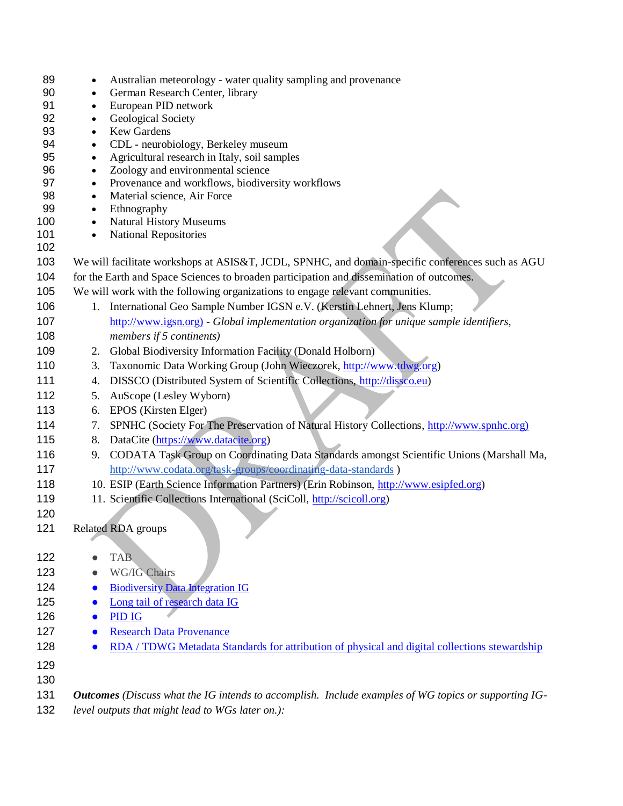| 89         |           | Australian meteorology - water quality sampling and provenance                                                                                             |  |  |
|------------|-----------|------------------------------------------------------------------------------------------------------------------------------------------------------------|--|--|
| 90         | ٠         | German Research Center, library                                                                                                                            |  |  |
| 91         | $\bullet$ | European PID network                                                                                                                                       |  |  |
| 92         | $\bullet$ | Geological Society                                                                                                                                         |  |  |
| 93         | $\bullet$ | <b>Kew Gardens</b>                                                                                                                                         |  |  |
| 94         | $\bullet$ | CDL - neurobiology, Berkeley museum                                                                                                                        |  |  |
| 95         | $\bullet$ | Agricultural research in Italy, soil samples                                                                                                               |  |  |
| 96         | $\bullet$ | Zoology and environmental science                                                                                                                          |  |  |
| 97         | $\bullet$ | Provenance and workflows, biodiversity workflows                                                                                                           |  |  |
| 98         | $\bullet$ | Material science, Air Force                                                                                                                                |  |  |
| 99         | $\bullet$ | Ethnography                                                                                                                                                |  |  |
| 100        | $\bullet$ | <b>Natural History Museums</b>                                                                                                                             |  |  |
| 101<br>102 | $\bullet$ | <b>National Repositories</b>                                                                                                                               |  |  |
| 103        |           | We will facilitate workshops at ASIS&T, JCDL, SPNHC, and domain-specific conferences such as AGU                                                           |  |  |
| 104        |           | for the Earth and Space Sciences to broaden participation and dissemination of outcomes.                                                                   |  |  |
| 105        |           | We will work with the following organizations to engage relevant communities.                                                                              |  |  |
| 106        |           | 1. International Geo Sample Number IGSN e.V. (Kerstin Lehnert, Jens Klump;                                                                                 |  |  |
| 107        |           | http://www.igsn.org) - Global implementation organization for unique sample identifiers,                                                                   |  |  |
| 108        |           | members if 5 continents)                                                                                                                                   |  |  |
| 109        | 2.        | Global Biodiversity Information Facility (Donald Holborn)                                                                                                  |  |  |
| 110        | 3.        | Taxonomic Data Working Group (John Wieczorek, http://www.tdwg.org)                                                                                         |  |  |
| 111        | 4.        | DISSCO (Distributed System of Scientific Collections, http://dissco.eu)                                                                                    |  |  |
| 112        | 5.        | AuScope (Lesley Wyborn)                                                                                                                                    |  |  |
| 113        | 6.        | EPOS (Kirsten Elger)                                                                                                                                       |  |  |
| 114        | 7.        | SPNHC (Society For The Preservation of Natural History Collections, http://www.spnhc.org)                                                                  |  |  |
| 115        | 8.        | DataCite (https://www.datacite.org)                                                                                                                        |  |  |
| 116        |           |                                                                                                                                                            |  |  |
| 117        | 9.        | CODATA Task Group on Coordinating Data Standards amongst Scientific Unions (Marshall Ma,<br>http://www.codata.org/task-groups/coordinating-data-standards) |  |  |
| 118        |           |                                                                                                                                                            |  |  |
|            |           | 10. ESIP (Earth Science Information Partners) (Erin Robinson, http://www.esipfed.org)                                                                      |  |  |
| 119        |           | 11. Scientific Collections International (SciColl, http://scicoll.org)                                                                                     |  |  |
| 120        |           |                                                                                                                                                            |  |  |
| 121        |           | Related RDA groups                                                                                                                                         |  |  |
| 122        |           | <b>TAB</b>                                                                                                                                                 |  |  |
| 123        |           | WG/IG Chairs                                                                                                                                               |  |  |
|            |           |                                                                                                                                                            |  |  |
| 124        |           | <b>Biodiversity Data Integration IG</b>                                                                                                                    |  |  |
| 125        |           | Long tail of research data IG                                                                                                                              |  |  |
| 126        | $\bullet$ | PID IG                                                                                                                                                     |  |  |
| 127        | $\bullet$ | <b>Research Data Provenance</b>                                                                                                                            |  |  |
| 128        | $\bullet$ | RDA / TDWG Metadata Standards for attribution of physical and digital collections stewardship                                                              |  |  |
| 129        |           |                                                                                                                                                            |  |  |
| 130        |           |                                                                                                                                                            |  |  |
| 131        |           | <b>Outcomes</b> (Discuss what the IG intends to accomplish. Include examples of WG topics or supporting IG-                                                |  |  |
| 132        |           | level outputs that might lead to WGs later on.):                                                                                                           |  |  |
|            |           |                                                                                                                                                            |  |  |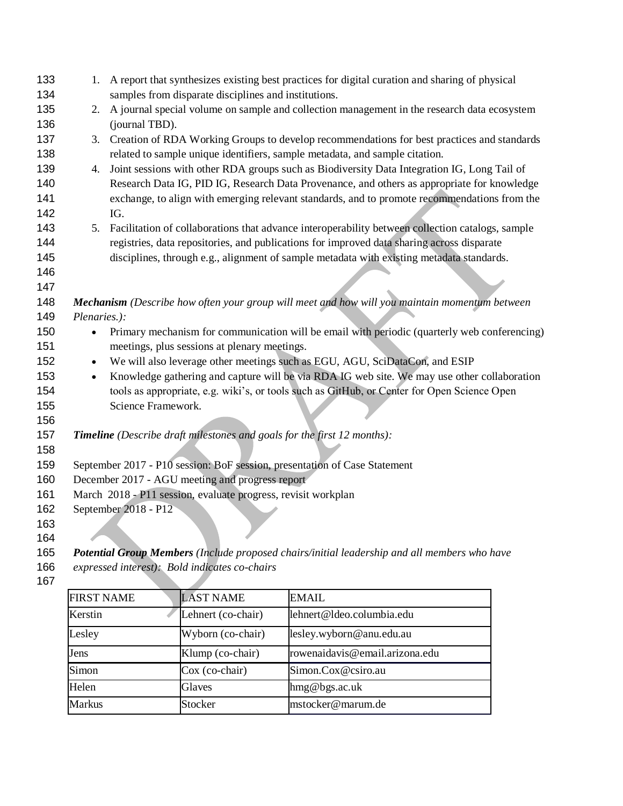| 133 | 1.                                                                                            | A report that synthesizes existing best practices for digital curation and sharing of physical   |  |  |
|-----|-----------------------------------------------------------------------------------------------|--------------------------------------------------------------------------------------------------|--|--|
| 134 |                                                                                               | samples from disparate disciplines and institutions.                                             |  |  |
| 135 | 2.                                                                                            | A journal special volume on sample and collection management in the research data ecosystem      |  |  |
| 136 |                                                                                               | (journal TBD).                                                                                   |  |  |
| 137 |                                                                                               | 3. Creation of RDA Working Groups to develop recommendations for best practices and standards    |  |  |
| 138 |                                                                                               | related to sample unique identifiers, sample metadata, and sample citation.                      |  |  |
| 139 | 4.                                                                                            | Joint sessions with other RDA groups such as Biodiversity Data Integration IG, Long Tail of      |  |  |
| 140 |                                                                                               | Research Data IG, PID IG, Research Data Provenance, and others as appropriate for knowledge      |  |  |
| 141 |                                                                                               | exchange, to align with emerging relevant standards, and to promote recommendations from the     |  |  |
| 142 |                                                                                               | IG.                                                                                              |  |  |
| 143 | 5.                                                                                            | Facilitation of collaborations that advance interoperability between collection catalogs, sample |  |  |
| 144 |                                                                                               | registries, data repositories, and publications for improved data sharing across disparate       |  |  |
| 145 |                                                                                               | disciplines, through e.g., alignment of sample metadata with existing metadata standards.        |  |  |
| 146 |                                                                                               |                                                                                                  |  |  |
| 147 |                                                                                               |                                                                                                  |  |  |
| 148 | Mechanism (Describe how often your group will meet and how will you maintain momentum between |                                                                                                  |  |  |
| 149 | Plenaries.):                                                                                  |                                                                                                  |  |  |
| 150 | $\bullet$                                                                                     | Primary mechanism for communication will be email with periodic (quarterly web conferencing)     |  |  |
| 151 |                                                                                               | meetings, plus sessions at plenary meetings.                                                     |  |  |
| 152 | $\bullet$                                                                                     | We will also leverage other meetings such as EGU, AGU, SciDataCon, and ESIP                      |  |  |
| 153 | $\bullet$                                                                                     | Knowledge gathering and capture will be via RDA IG web site. We may use other collaboration      |  |  |
| 154 |                                                                                               | tools as appropriate, e.g. wiki's, or tools such as GitHub, or Center for Open Science Open      |  |  |
| 155 |                                                                                               | Science Framework.                                                                               |  |  |
| 156 |                                                                                               |                                                                                                  |  |  |
| 157 | Timeline (Describe draft milestones and goals for the first 12 months):                       |                                                                                                  |  |  |
| 158 |                                                                                               |                                                                                                  |  |  |
| 159 | September 2017 - P10 session: BoF session, presentation of Case Statement                     |                                                                                                  |  |  |
| 160 | December 2017 - AGU meeting and progress report                                               |                                                                                                  |  |  |
| 161 | March 2018 - P11 session, evaluate progress, revisit workplan                                 |                                                                                                  |  |  |
| 162 | September 2018 - P12                                                                          |                                                                                                  |  |  |
| 163 |                                                                                               |                                                                                                  |  |  |
| 164 |                                                                                               |                                                                                                  |  |  |

*Potential Group Members (Include proposed chairs/initial leadership and all members who have* 

*expressed interest): Bold indicates co-chairs*

| <b>FIRST NAME</b> | <b>LAST NAME</b>   | <b>EMAIL</b>                   |
|-------------------|--------------------|--------------------------------|
| Kerstin           | Lehnert (co-chair) | lehnert@ldeo.columbia.edu      |
| Lesley            | Wyborn (co-chair)  | lesley.wyborn@anu.edu.au       |
| Jens              | Klump (co-chair)   | rowenaidavis@email.arizona.edu |
| Simon             | Cox (co-chair)     | Simon.Cox@csiro.au             |
| Helen             | Glaves             | hmg@bgs.ac.uk                  |
| <b>Markus</b>     | Stocker            | mstocker@marum.de              |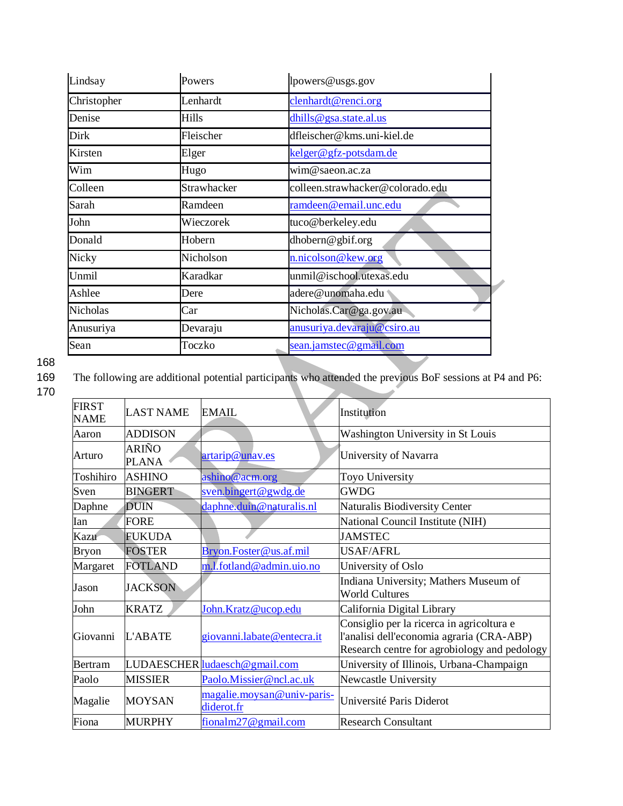| Lindsay         | Powers      | lpowers@usgs.gov                 |
|-----------------|-------------|----------------------------------|
| Christopher     | Lenhardt    | clenhardt@renci.org              |
| Denise          | Hills       | dhills@gsa.state.al.us           |
| Dirk            | Fleischer   | dfleischer@kms.uni-kiel.de       |
| Kirsten         | Elger       | kelger@gfz-potsdam.de            |
| Wim             | Hugo        | wim@saeon.ac.za                  |
| Colleen         | Strawhacker | colleen.strawhacker@colorado.edu |
| Sarah           | Ramdeen     | ramdeen@email.unc.edu            |
| John            | Wieczorek   | tuco@berkeley.edu                |
| Donald          | Hobern      | dhobern@gbif.org                 |
| <b>Nicky</b>    | Nicholson   | n.nicolson@kew.org               |
| Unmil           | Karadkar    | unmil@ischool.utexas.edu         |
| Ashlee          | Dere        | adere@unomaha.edu                |
| <b>Nicholas</b> | Car         | Nicholas.Car@ga.gov.au           |
| Anusuriya       | Devaraju    | anusuriya.devaraju@csiro.au      |
| Sean            | Toczko      | sean.jamstec@gmail.com           |

168

The following are additional potential participants who attended the previous BoF sessions at P4 and P6:

170

| <b>FIRST</b><br><b>NAME</b> | <b>LAST NAME</b>      | <b>EMAIL</b>                             | Institution                                                                                                                            |
|-----------------------------|-----------------------|------------------------------------------|----------------------------------------------------------------------------------------------------------------------------------------|
| Aaron                       | <b>ADDISON</b>        |                                          | Washington University in St Louis                                                                                                      |
| Arturo                      | ARIÑO<br><b>PLANA</b> | artarip@unav.es                          | University of Navarra                                                                                                                  |
| Toshihiro                   | <b>ASHINO</b>         | ashino@acm.org                           | Toyo University                                                                                                                        |
| Sven                        | <b>BINGERT</b>        | sven.bingert@gwdg.de                     | <b>GWDG</b>                                                                                                                            |
| Daphne                      | <b>DUIN</b>           | daphne.duin@naturalis.nl                 | Naturalis Biodiversity Center                                                                                                          |
| Ian                         | <b>FORE</b>           |                                          | National Council Institute (NIH)                                                                                                       |
| Kazu                        | <b>FUKUDA</b>         |                                          | <b>JAMSTEC</b>                                                                                                                         |
| <b>Bryon</b>                | <b>FOSTER</b>         | Bryon.Foster@us.af.mil                   | <b>USAF/AFRL</b>                                                                                                                       |
| Margaret                    | <b>FOTLAND</b>        | m.l.fotland@admin.uio.no                 | University of Oslo                                                                                                                     |
| Jason                       | <b>JACKSON</b>        |                                          | Indiana University; Mathers Museum of<br><b>World Cultures</b>                                                                         |
| John                        | <b>KRATZ</b>          | John.Kratz@ucop.edu                      | California Digital Library                                                                                                             |
| Giovanni                    | <b>L'ABATE</b>        | giovanni.labate@entecra.it               | Consiglio per la ricerca in agricoltura e<br>l'analisi dell'economia agraria (CRA-ABP)<br>Research centre for agrobiology and pedology |
| Bertram                     |                       | LUDAESCHER ludaesch@gmail.com            | University of Illinois, Urbana-Champaign                                                                                               |
| Paolo                       | <b>MISSIER</b>        | Paolo.Missier@ncl.ac.uk                  | Newcastle University                                                                                                                   |
| Magalie                     | <b>MOYSAN</b>         | magalie.moysan@univ-paris-<br>diderot.fr | Université Paris Diderot                                                                                                               |
| Fiona                       | <b>MURPHY</b>         | fionalm $27@$ gmail.com                  | <b>Research Consultant</b>                                                                                                             |